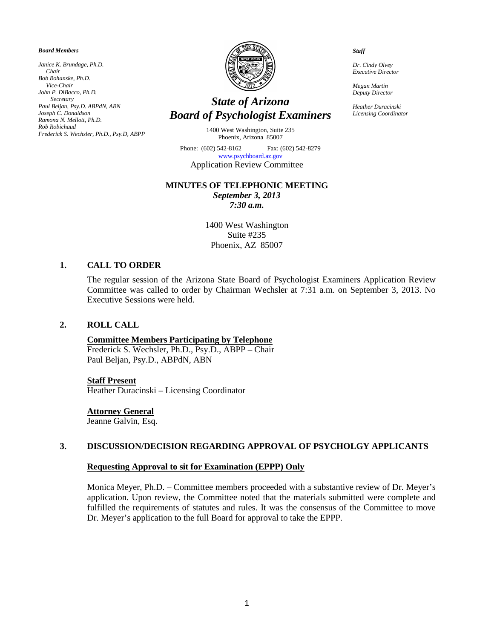*Board Members*

*Janice K. Brundage, Ph.D. Chair Bob Bohanske, Ph.D. Vice-Chair John P. DiBacco, Ph.D. Secretary Paul Beljan, Psy.D. ABPdN, ABN Joseph C. Donaldson Ramona N. Mellott, Ph.D. Rob Robichaud Frederick S. Wechsler, Ph.D., Psy.D, ABPP*



# *State of Arizona Board of Psychologist Examiners*

1400 West Washington, Suite 235 Phoenix, Arizona 85007

Phone: (602) 542-8162 Fax: (602) 542-8279 [www.psychboard.az.gov](http://www.psychboard.az.gov/)  Application Review Committee

#### **MINUTES OF TELEPHONIC MEETING**

*September 3, 2013 7:30 a.m.*

1400 West Washington Suite #235 Phoenix, AZ 85007

# **1. CALL TO ORDER**

The regular session of the Arizona State Board of Psychologist Examiners Application Review Committee was called to order by Chairman Wechsler at 7:31 a.m. on September 3, 2013. No Executive Sessions were held.

## **2. ROLL CALL**

# **Committee Members Participating by Telephone**

Frederick S. Wechsler, Ph.D., Psy.D., ABPP – Chair Paul Beljan, Psy.D., ABPdN, ABN

#### **Staff Present**

Heather Duracinski – Licensing Coordinator

#### **Attorney General**

Jeanne Galvin, Esq.

# **3. DISCUSSION/DECISION REGARDING APPROVAL OF PSYCHOLGY APPLICANTS**

#### **Requesting Approval to sit for Examination (EPPP) Only**

Monica Meyer, Ph.D. - Committee members proceeded with a substantive review of Dr. Meyer's application. Upon review, the Committee noted that the materials submitted were complete and fulfilled the requirements of statutes and rules. It was the consensus of the Committee to move Dr. Meyer's application to the full Board for approval to take the EPPP.

*Staff*

*Dr. Cindy Olvey Executive Director*

*Megan Martin Deputy Director*

*Heather Duracinski Licensing Coordinator*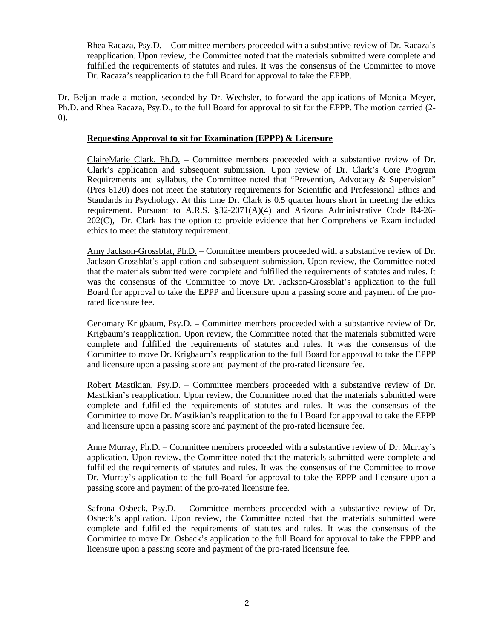Rhea Racaza, Psy.D. – Committee members proceeded with a substantive review of Dr. Racaza's reapplication. Upon review, the Committee noted that the materials submitted were complete and fulfilled the requirements of statutes and rules. It was the consensus of the Committee to move Dr. Racaza's reapplication to the full Board for approval to take the EPPP.

Dr. Beljan made a motion, seconded by Dr. Wechsler, to forward the applications of Monica Meyer, Ph.D. and Rhea Racaza, Psy.D., to the full Board for approval to sit for the EPPP. The motion carried (2- 0).

## **Requesting Approval to sit for Examination (EPPP) & Licensure**

ClaireMarie Clark, Ph.D. – Committee members proceeded with a substantive review of Dr. Clark's application and subsequent submission. Upon review of Dr. Clark's Core Program Requirements and syllabus, the Committee noted that "Prevention, Advocacy & Supervision" (Pres 6120) does not meet the statutory requirements for Scientific and Professional Ethics and Standards in Psychology. At this time Dr. Clark is 0.5 quarter hours short in meeting the ethics requirement. Pursuant to A.R.S. §32-2071(A)(4) and Arizona Administrative Code R4-26- 202(C), Dr. Clark has the option to provide evidence that her Comprehensive Exam included ethics to meet the statutory requirement.

Amy Jackson-Grossblat, Ph.D. **–** Committee members proceeded with a substantive review of Dr. Jackson-Grossblat's application and subsequent submission. Upon review, the Committee noted that the materials submitted were complete and fulfilled the requirements of statutes and rules. It was the consensus of the Committee to move Dr. Jackson-Grossblat's application to the full Board for approval to take the EPPP and licensure upon a passing score and payment of the prorated licensure fee.

Genomary Krigbaum, Psy.D. – Committee members proceeded with a substantive review of Dr. Krigbaum's reapplication. Upon review, the Committee noted that the materials submitted were complete and fulfilled the requirements of statutes and rules. It was the consensus of the Committee to move Dr. Krigbaum's reapplication to the full Board for approval to take the EPPP and licensure upon a passing score and payment of the pro-rated licensure fee.

Robert Mastikian, Psy.D. – Committee members proceeded with a substantive review of Dr. Mastikian's reapplication. Upon review, the Committee noted that the materials submitted were complete and fulfilled the requirements of statutes and rules. It was the consensus of the Committee to move Dr. Mastikian's reapplication to the full Board for approval to take the EPPP and licensure upon a passing score and payment of the pro-rated licensure fee.

Anne Murray, Ph.D. – Committee members proceeded with a substantive review of Dr. Murray's application. Upon review, the Committee noted that the materials submitted were complete and fulfilled the requirements of statutes and rules. It was the consensus of the Committee to move Dr. Murray's application to the full Board for approval to take the EPPP and licensure upon a passing score and payment of the pro-rated licensure fee.

Safrona Osbeck, Psy.D. – Committee members proceeded with a substantive review of Dr. Osbeck's application. Upon review, the Committee noted that the materials submitted were complete and fulfilled the requirements of statutes and rules. It was the consensus of the Committee to move Dr. Osbeck's application to the full Board for approval to take the EPPP and licensure upon a passing score and payment of the pro-rated licensure fee.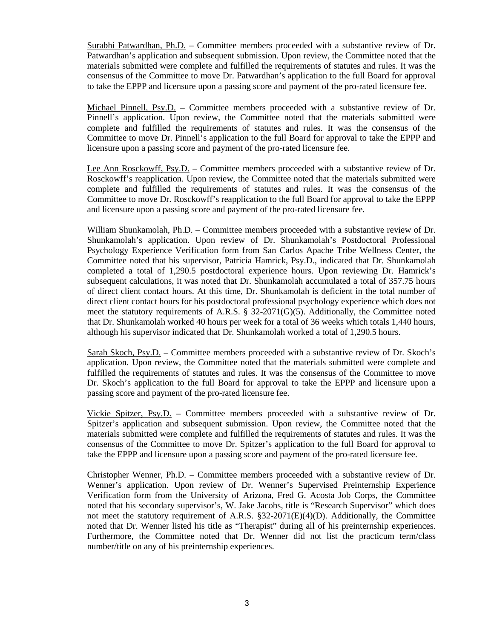Surabhi Patwardhan, Ph.D. – Committee members proceeded with a substantive review of Dr. Patwardhan's application and subsequent submission. Upon review, the Committee noted that the materials submitted were complete and fulfilled the requirements of statutes and rules. It was the consensus of the Committee to move Dr. Patwardhan's application to the full Board for approval to take the EPPP and licensure upon a passing score and payment of the pro-rated licensure fee.

Michael Pinnell, Psy.D. – Committee members proceeded with a substantive review of Dr. Pinnell's application. Upon review, the Committee noted that the materials submitted were complete and fulfilled the requirements of statutes and rules. It was the consensus of the Committee to move Dr. Pinnell's application to the full Board for approval to take the EPPP and licensure upon a passing score and payment of the pro-rated licensure fee.

Lee Ann Rosckowff, Psy.D. – Committee members proceeded with a substantive review of Dr. Rosckowff's reapplication. Upon review, the Committee noted that the materials submitted were complete and fulfilled the requirements of statutes and rules. It was the consensus of the Committee to move Dr. Rosckowff's reapplication to the full Board for approval to take the EPPP and licensure upon a passing score and payment of the pro-rated licensure fee.

William Shunkamolah, Ph.D. – Committee members proceeded with a substantive review of Dr. Shunkamolah's application. Upon review of Dr. Shunkamolah's Postdoctoral Professional Psychology Experience Verification form from San Carlos Apache Tribe Wellness Center, the Committee noted that his supervisor, Patricia Hamrick, Psy.D., indicated that Dr. Shunkamolah completed a total of 1,290.5 postdoctoral experience hours. Upon reviewing Dr. Hamrick's subsequent calculations, it was noted that Dr. Shunkamolah accumulated a total of 357.75 hours of direct client contact hours. At this time, Dr. Shunkamolah is deficient in the total number of direct client contact hours for his postdoctoral professional psychology experience which does not meet the statutory requirements of A.R.S.  $\S$  32-2071(G)(5). Additionally, the Committee noted that Dr. Shunkamolah worked 40 hours per week for a total of 36 weeks which totals 1,440 hours, although his supervisor indicated that Dr. Shunkamolah worked a total of 1,290.5 hours.

Sarah Skoch, Psy.D. – Committee members proceeded with a substantive review of Dr. Skoch's application. Upon review, the Committee noted that the materials submitted were complete and fulfilled the requirements of statutes and rules. It was the consensus of the Committee to move Dr. Skoch's application to the full Board for approval to take the EPPP and licensure upon a passing score and payment of the pro-rated licensure fee.

Vickie Spitzer, Psy.D. – Committee members proceeded with a substantive review of Dr. Spitzer's application and subsequent submission. Upon review, the Committee noted that the materials submitted were complete and fulfilled the requirements of statutes and rules. It was the consensus of the Committee to move Dr. Spitzer's application to the full Board for approval to take the EPPP and licensure upon a passing score and payment of the pro-rated licensure fee.

Christopher Wenner, Ph.D. – Committee members proceeded with a substantive review of Dr. Wenner's application. Upon review of Dr. Wenner's Supervised Preinternship Experience Verification form from the University of Arizona, Fred G. Acosta Job Corps, the Committee noted that his secondary supervisor's, W. Jake Jacobs, title is "Research Supervisor" which does not meet the statutory requirement of A.R.S. §32-2071(E)(4)(D). Additionally, the Committee noted that Dr. Wenner listed his title as "Therapist" during all of his preinternship experiences. Furthermore, the Committee noted that Dr. Wenner did not list the practicum term/class number/title on any of his preinternship experiences.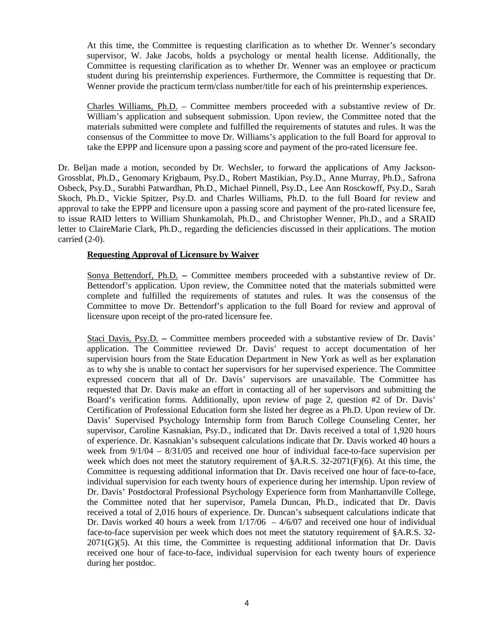At this time, the Committee is requesting clarification as to whether Dr. Wenner's secondary supervisor, W. Jake Jacobs, holds a psychology or mental health license. Additionally, the Committee is requesting clarification as to whether Dr. Wenner was an employee or practicum student during his preinternship experiences. Furthermore, the Committee is requesting that Dr. Wenner provide the practicum term/class number/title for each of his preinternship experiences.

Charles Williams, Ph.D. – Committee members proceeded with a substantive review of Dr. William's application and subsequent submission. Upon review, the Committee noted that the materials submitted were complete and fulfilled the requirements of statutes and rules. It was the consensus of the Committee to move Dr. Williams's application to the full Board for approval to take the EPPP and licensure upon a passing score and payment of the pro-rated licensure fee.

Dr. Beljan made a motion, seconded by Dr. Wechsler, to forward the applications of Amy Jackson-Grossblat, Ph.D., Genomary Krigbaum, Psy.D., Robert Mastikian, Psy.D., Anne Murray, Ph.D., Safrona Osbeck, Psy.D., Surabhi Patwardhan, Ph.D., Michael Pinnell, Psy.D., Lee Ann Rosckowff, Psy.D., Sarah Skoch, Ph.D., Vickie Spitzer, Psy.D. and Charles Williams, Ph.D. to the full Board for review and approval to take the EPPP and licensure upon a passing score and payment of the pro-rated licensure fee, to issue RAID letters to William Shunkamolah, Ph.D., and Christopher Wenner, Ph.D., and a SRAID letter to ClaireMarie Clark, Ph.D., regarding the deficiencies discussed in their applications. The motion carried (2-0).

#### **Requesting Approval of Licensure by Waiver**

Sonya Bettendorf, Ph.D. **–** Committee members proceeded with a substantive review of Dr. Bettendorf's application. Upon review, the Committee noted that the materials submitted were complete and fulfilled the requirements of statutes and rules. It was the consensus of the Committee to move Dr. Bettendorf's application to the full Board for review and approval of licensure upon receipt of the pro-rated licensure fee.

Staci Davis, Psy.D. **–** Committee members proceeded with a substantive review of Dr. Davis' application. The Committee reviewed Dr. Davis' request to accept documentation of her supervision hours from the State Education Department in New York as well as her explanation as to why she is unable to contact her supervisors for her supervised experience. The Committee expressed concern that all of Dr. Davis' supervisors are unavailable. The Committee has requested that Dr. Davis make an effort in contacting all of her supervisors and submitting the Board's verification forms. Additionally, upon review of page 2, question #2 of Dr. Davis' Certification of Professional Education form she listed her degree as a Ph.D. Upon review of Dr. Davis' Supervised Psychology Internship form from Baruch College Counseling Center, her supervisor, Caroline Kasnakian, Psy.D., indicated that Dr. Davis received a total of 1,920 hours of experience. Dr. Kasnakian's subsequent calculations indicate that Dr. Davis worked 40 hours a week from 9/1/04 – 8/31/05 and received one hour of individual face-to-face supervision per week which does not meet the statutory requirement of  $\&A.R.S. 32-2071(F)(6)$ . At this time, the Committee is requesting additional information that Dr. Davis received one hour of face-to-face, individual supervision for each twenty hours of experience during her internship. Upon review of Dr. Davis' Postdoctoral Professional Psychology Experience form from Manhattanville College, the Committee noted that her supervisor, Pamela Duncan, Ph.D., indicated that Dr. Davis received a total of 2,016 hours of experience. Dr. Duncan's subsequent calculations indicate that Dr. Davis worked 40 hours a week from  $1/17/06 - 4/6/07$  and received one hour of individual face-to-face supervision per week which does not meet the statutory requirement of §A.R.S. 32-  $2071(G)(5)$ . At this time, the Committee is requesting additional information that Dr. Davis received one hour of face-to-face, individual supervision for each twenty hours of experience during her postdoc.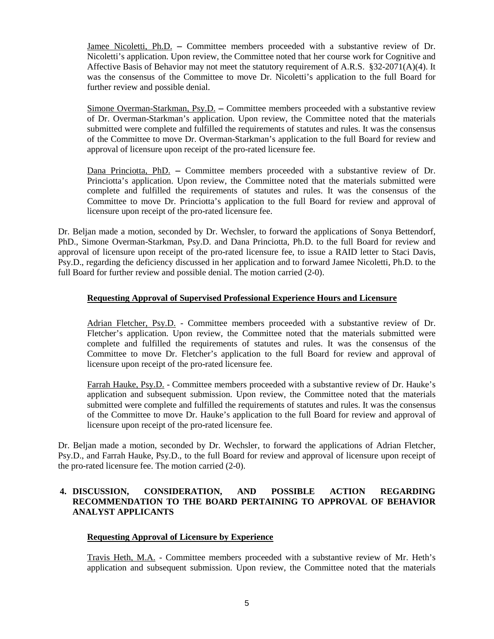Jamee Nicoletti, Ph.D. **–** Committee members proceeded with a substantive review of Dr. Nicoletti's application. Upon review, the Committee noted that her course work for Cognitive and Affective Basis of Behavior may not meet the statutory requirement of A.R.S. §32-2071(A)(4). It was the consensus of the Committee to move Dr. Nicoletti's application to the full Board for further review and possible denial.

Simone Overman-Starkman, Psy.D. **–** Committee members proceeded with a substantive review of Dr. Overman-Starkman's application. Upon review, the Committee noted that the materials submitted were complete and fulfilled the requirements of statutes and rules. It was the consensus of the Committee to move Dr. Overman-Starkman's application to the full Board for review and approval of licensure upon receipt of the pro-rated licensure fee.

Dana Princiotta, PhD. **–** Committee members proceeded with a substantive review of Dr. Princiotta's application. Upon review, the Committee noted that the materials submitted were complete and fulfilled the requirements of statutes and rules. It was the consensus of the Committee to move Dr. Princiotta's application to the full Board for review and approval of licensure upon receipt of the pro-rated licensure fee.

Dr. Beljan made a motion, seconded by Dr. Wechsler, to forward the applications of Sonya Bettendorf, PhD., Simone Overman-Starkman, Psy.D. and Dana Princiotta, Ph.D. to the full Board for review and approval of licensure upon receipt of the pro-rated licensure fee, to issue a RAID letter to Staci Davis, Psy.D., regarding the deficiency discussed in her application and to forward Jamee Nicoletti, Ph.D. to the full Board for further review and possible denial. The motion carried (2-0).

# **Requesting Approval of Supervised Professional Experience Hours and Licensure**

Adrian Fletcher, Psy.D. - Committee members proceeded with a substantive review of Dr. Fletcher's application. Upon review, the Committee noted that the materials submitted were complete and fulfilled the requirements of statutes and rules. It was the consensus of the Committee to move Dr. Fletcher's application to the full Board for review and approval of licensure upon receipt of the pro-rated licensure fee.

Farrah Hauke, Psy.D. - Committee members proceeded with a substantive review of Dr. Hauke's application and subsequent submission. Upon review, the Committee noted that the materials submitted were complete and fulfilled the requirements of statutes and rules. It was the consensus of the Committee to move Dr. Hauke's application to the full Board for review and approval of licensure upon receipt of the pro-rated licensure fee.

Dr. Beljan made a motion, seconded by Dr. Wechsler, to forward the applications of Adrian Fletcher, Psy.D., and Farrah Hauke, Psy.D., to the full Board for review and approval of licensure upon receipt of the pro-rated licensure fee. The motion carried (2-0).

# **4. DISCUSSION, CONSIDERATION, AND POSSIBLE ACTION REGARDING RECOMMENDATION TO THE BOARD PERTAINING TO APPROVAL OF BEHAVIOR ANALYST APPLICANTS**

# **Requesting Approval of Licensure by Experience**

Travis Heth, M.A. - Committee members proceeded with a substantive review of Mr. Heth's application and subsequent submission. Upon review, the Committee noted that the materials